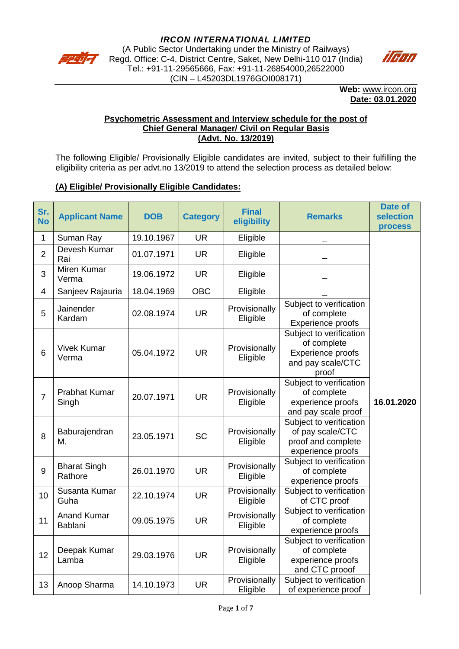

Regd. Office: C-4, District Centre, Saket, New Delhi-110 017 (India) Tel.: +91-11-29565666, Fax: +91-11-26854000,26522000 (CIN – L45203DL1976GOI008171)



**Web:** [www.ircon.org](http://www.ircon.org/) **Date: 03.01.2020**

#### **Psychometric Assessment and Interview schedule for the post of Chief General Manager/ Civil on Regular Basis (Advt. No. 13/2019)**

The following Eligible/ Provisionally Eligible candidates are invited, subject to their fulfilling the eligibility criteria as per advt.no 13/2019 to attend the selection process as detailed below:

## **(A) Eligible/ Provisionally Eligible Candidates:**

| Sr.<br><b>No</b>         | <b>Applicant Name</b>                | <b>DOB</b> | <b>Category</b> | <b>Final</b><br>eligibility | <b>Remarks</b>                                                                            | <b>Date of</b><br><b>selection</b><br><b>process</b> |
|--------------------------|--------------------------------------|------------|-----------------|-----------------------------|-------------------------------------------------------------------------------------------|------------------------------------------------------|
| 1                        | Suman Ray                            | 19.10.1967 | <b>UR</b>       | Eligible                    |                                                                                           |                                                      |
| $\overline{2}$           | Devesh Kumar<br>Rai                  | 01.07.1971 | <b>UR</b>       | Eligible                    |                                                                                           |                                                      |
| 3                        | Miren Kumar<br>Verma                 | 19.06.1972 | <b>UR</b>       | Eligible                    |                                                                                           |                                                      |
| $\overline{\mathcal{A}}$ | Sanjeev Rajauria                     | 18.04.1969 | <b>OBC</b>      | Eligible                    |                                                                                           |                                                      |
| 5                        | Jainender<br>Kardam                  | 02.08.1974 | <b>UR</b>       | Provisionally<br>Eligible   | Subject to verification<br>of complete<br>Experience proofs                               |                                                      |
| $6\phantom{1}$           | <b>Vivek Kumar</b><br>Verma          | 05.04.1972 | <b>UR</b>       | Provisionally<br>Eligible   | Subject to verification<br>of complete<br>Experience proofs<br>and pay scale/CTC<br>proof |                                                      |
| $\overline{7}$           | <b>Prabhat Kumar</b><br>Singh        | 20.07.1971 | <b>UR</b>       | Provisionally<br>Eligible   | Subject to verification<br>of complete<br>experience proofs<br>and pay scale proof        | 16.01.2020                                           |
| 8                        | Baburajendran<br>Μ.                  | 23.05.1971 | <b>SC</b>       | Provisionally<br>Eligible   | Subject to verification<br>of pay scale/CTC<br>proof and complete<br>experience proofs    |                                                      |
| 9                        | <b>Bharat Singh</b><br>Rathore       | 26.01.1970 | <b>UR</b>       | Provisionally<br>Eligible   | Subject to verification<br>of complete<br>experience proofs                               |                                                      |
| 10                       | Susanta Kumar<br>Guha                | 22.10.1974 | <b>UR</b>       | Provisionally<br>Eligible   | Subject to verification<br>of CTC proof                                                   |                                                      |
| 11                       | <b>Anand Kumar</b><br><b>Bablani</b> | 09.05.1975 | <b>UR</b>       | Provisionally<br>Eligible   | Subject to verification<br>of complete<br>experience proofs                               |                                                      |
| 12                       | Deepak Kumar<br>Lamba                | 29.03.1976 | <b>UR</b>       | Provisionally<br>Eligible   | Subject to verification<br>of complete<br>experience proofs<br>and CTC prooof             |                                                      |
| 13                       | Anoop Sharma                         | 14.10.1973 | <b>UR</b>       | Provisionally<br>Eligible   | Subject to verification<br>of experience proof                                            |                                                      |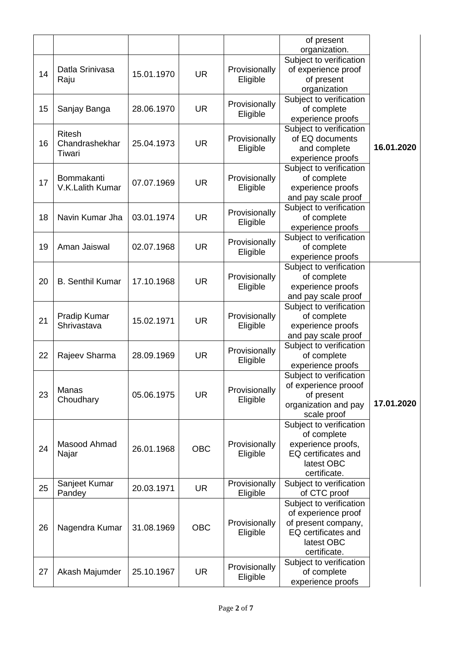|    |                         |            |            |                           | of present                 |                      |            |
|----|-------------------------|------------|------------|---------------------------|----------------------------|----------------------|------------|
|    |                         |            |            |                           | organization.              |                      |            |
|    |                         |            |            |                           | Subject to verification    |                      |            |
| 14 | Datla Srinivasa         | 15.01.1970 | <b>UR</b>  | Provisionally             | of experience proof        |                      |            |
|    | Raju                    |            |            | Eligible                  | of present                 |                      |            |
|    |                         |            |            |                           | organization               |                      |            |
|    |                         |            |            | Provisionally             | Subject to verification    |                      |            |
| 15 | Sanjay Banga            | 28.06.1970 | <b>UR</b>  | Eligible                  | of complete                |                      |            |
|    |                         |            |            |                           | experience proofs          |                      |            |
|    | <b>Ritesh</b>           |            |            |                           | Subject to verification    |                      |            |
| 16 | Chandrashekhar          | 25.04.1973 | <b>UR</b>  | Provisionally             | of EQ documents            |                      |            |
|    | Tiwari                  |            |            | Eligible                  | and complete               | 16.01.2020           |            |
|    |                         |            |            |                           | experience proofs          |                      |            |
|    |                         |            |            |                           | Subject to verification    |                      |            |
| 17 | Bommakanti              | 07.07.1969 | <b>UR</b>  | Provisionally             | of complete                |                      |            |
|    | V.K.Lalith Kumar        |            |            | Eligible                  | experience proofs          |                      |            |
|    |                         |            |            |                           | and pay scale proof        |                      |            |
|    |                         |            |            | Provisionally             | Subject to verification    |                      |            |
| 18 | Navin Kumar Jha         | 03.01.1974 | <b>UR</b>  | Eligible                  | of complete                |                      |            |
|    |                         |            |            |                           | experience proofs          |                      |            |
|    |                         |            |            | Provisionally             | Subject to verification    |                      |            |
| 19 | Aman Jaiswal            | 02.07.1968 | <b>UR</b>  |                           | of complete                |                      |            |
|    |                         |            |            | Eligible                  | experience proofs          |                      |            |
|    |                         |            |            |                           | Subject to verification    |                      |            |
|    |                         |            | <b>UR</b>  | Provisionally<br>Eligible | of complete                |                      |            |
| 20 | <b>B.</b> Senthil Kumar | 17.10.1968 |            |                           | experience proofs          |                      |            |
|    |                         |            |            |                           | and pay scale proof        |                      |            |
|    |                         |            |            |                           | Subject to verification    |                      |            |
|    | Pradip Kumar            |            | <b>UR</b>  | Provisionally<br>Eligible | of complete                |                      |            |
| 21 | Shrivastava             | 15.02.1971 |            |                           | experience proofs          |                      |            |
|    |                         |            |            |                           | and pay scale proof        |                      |            |
|    |                         |            |            |                           | Subject to verification    |                      |            |
| 22 | Rajeev Sharma           | 28.09.1969 | <b>UR</b>  | Provisionally             | of complete                |                      |            |
|    |                         |            |            | Eligible                  | experience proofs          |                      |            |
|    |                         |            |            |                           | Subject to verification    |                      |            |
|    | Manas<br>Choudhary      | 05.06.1975 | <b>UR</b>  |                           | of experience prooof       |                      |            |
| 23 |                         |            |            | Provisionally             | of present                 |                      |            |
|    |                         |            |            |                           | Eligible                   | organization and pay | 17.01.2020 |
|    |                         |            |            |                           | scale proof                |                      |            |
|    |                         |            |            |                           | Subject to verification    |                      |            |
|    |                         |            |            |                           | of complete                |                      |            |
|    | Masood Ahmad            |            |            | Provisionally             | experience proofs,         |                      |            |
| 24 | Najar                   | 26.01.1968 | <b>OBC</b> | Eligible                  | <b>EQ</b> certificates and |                      |            |
|    |                         |            |            |                           | latest OBC                 |                      |            |
|    |                         |            |            |                           | certificate.               |                      |            |
|    | Sanjeet Kumar           |            |            | Provisionally             | Subject to verification    |                      |            |
| 25 | Pandey                  | 20.03.1971 | <b>UR</b>  | Eligible                  | of CTC proof               |                      |            |
|    |                         |            |            |                           | Subject to verification    |                      |            |
|    |                         |            |            |                           | of experience proof        |                      |            |
|    |                         |            |            | Provisionally             | of present company,        |                      |            |
| 26 | Nagendra Kumar          |            | 31.08.1969 | <b>OBC</b>                | Eligible                   | EQ certificates and  |            |
|    |                         |            |            |                           | latest OBC                 |                      |            |
|    |                         |            |            |                           | certificate.               |                      |            |
|    |                         |            | <b>UR</b>  | Provisionally             | Subject to verification    |                      |            |
| 27 | Akash Majumder          | 25.10.1967 |            |                           | of complete                |                      |            |
|    |                         |            |            |                           | Eligible                   | experience proofs    |            |
|    |                         |            |            |                           |                            |                      |            |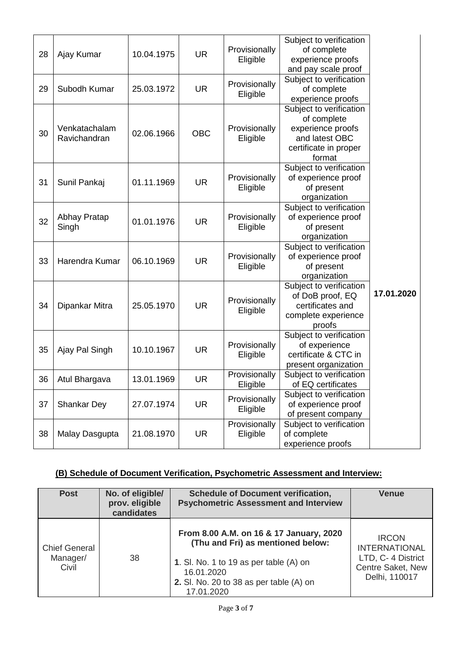| 28 | Ajay Kumar                    | 10.04.1975 | <b>UR</b>  | Provisionally<br>Eligible | Subject to verification<br>of complete<br>experience proofs<br>and pay scale proof                               |            |
|----|-------------------------------|------------|------------|---------------------------|------------------------------------------------------------------------------------------------------------------|------------|
| 29 | Subodh Kumar                  | 25.03.1972 | <b>UR</b>  | Provisionally<br>Eligible | Subject to verification<br>of complete<br>experience proofs                                                      |            |
| 30 | Venkatachalam<br>Ravichandran | 02.06.1966 | <b>OBC</b> | Provisionally<br>Eligible | Subject to verification<br>of complete<br>experience proofs<br>and latest OBC<br>certificate in proper<br>format |            |
| 31 | Sunil Pankaj                  | 01.11.1969 | <b>UR</b>  | Provisionally<br>Eligible | Subject to verification<br>of experience proof<br>of present<br>organization                                     |            |
| 32 | Abhay Pratap<br>Singh         | 01.01.1976 | <b>UR</b>  | Provisionally<br>Eligible | Subject to verification<br>of experience proof<br>of present<br>organization                                     |            |
| 33 | Harendra Kumar                | 06.10.1969 | <b>UR</b>  | Provisionally<br>Eligible | Subject to verification<br>of experience proof<br>of present<br>organization                                     |            |
| 34 | Dipankar Mitra                | 25.05.1970 | <b>UR</b>  | Provisionally<br>Eligible | Subject to verification<br>of DoB proof, EQ<br>certificates and<br>complete experience<br>proofs                 | 17.01.2020 |
| 35 | Ajay Pal Singh                | 10.10.1967 | <b>UR</b>  | Provisionally<br>Eligible | Subject to verification<br>of experience<br>certificate & CTC in<br>present organization                         |            |
| 36 | Atul Bhargava                 | 13.01.1969 | <b>UR</b>  | Provisionally<br>Eligible | Subject to verification<br>of EQ certificates                                                                    |            |
| 37 | <b>Shankar Dey</b>            | 27.07.1974 | <b>UR</b>  | Provisionally<br>Eligible | Subject to verification<br>of experience proof<br>of present company                                             |            |
| 38 | Malay Dasgupta                | 21.08.1970 | <b>UR</b>  | Provisionally<br>Eligible | Subject to verification<br>of complete<br>experience proofs                                                      |            |
|    |                               |            |            |                           |                                                                                                                  |            |

# **(B) Schedule of Document Verification, Psychometric Assessment and Interview:**

| <b>Post</b>                               | No. of eligible/<br>prov. eligible<br>candidates | <b>Schedule of Document verification,</b><br><b>Psychometric Assessment and Interview</b>                                                                                                       | <b>Venue</b>                                                                                     |
|-------------------------------------------|--------------------------------------------------|-------------------------------------------------------------------------------------------------------------------------------------------------------------------------------------------------|--------------------------------------------------------------------------------------------------|
| <b>Chief General</b><br>Manager/<br>Civil | 38                                               | From 8.00 A.M. on 16 & 17 January, 2020<br>(Thu and Fri) as mentioned below:<br>1. Sl. No. 1 to 19 as per table (A) on<br>16.01.2020<br>2. Sl. No. 20 to 38 as per table $(A)$ on<br>17.01.2020 | <b>IRCON</b><br><b>INTERNATIONAL</b><br>LTD, C- 4 District<br>Centre Saket, New<br>Delhi, 110017 |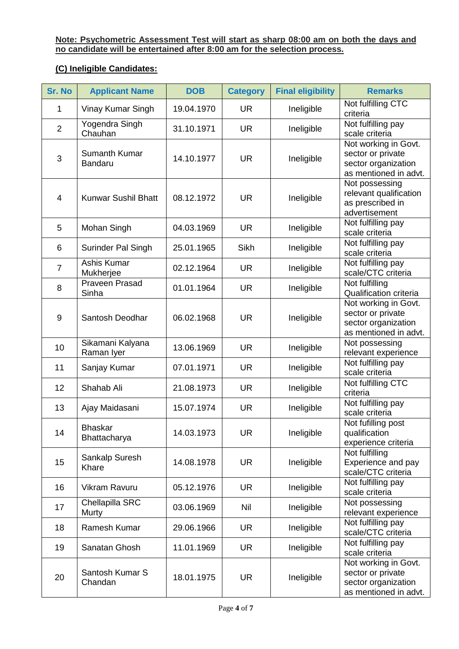### **Note: Psychometric Assessment Test will start as sharp 08:00 am on both the days and no candidate will be entertained after 8:00 am for the selection process.**

# **(C) Ineligible Candidates:**

| <b>Sr. No</b>  | <b>Applicant Name</b>          | <b>DOB</b> | <b>Category</b> | <b>Final eligibility</b> | <b>Remarks</b>                                                                            |
|----------------|--------------------------------|------------|-----------------|--------------------------|-------------------------------------------------------------------------------------------|
| 1              | Vinay Kumar Singh              | 19.04.1970 | UR.             | Ineligible               | Not fulfilling CTC<br>criteria                                                            |
| $\overline{2}$ | Yogendra Singh<br>Chauhan      | 31.10.1971 | <b>UR</b>       | Ineligible               | Not fulfilling pay<br>scale criteria                                                      |
| 3              | Sumanth Kumar<br>Bandaru       | 14.10.1977 | <b>UR</b>       | Ineligible               | Not working in Govt.<br>sector or private<br>sector organization<br>as mentioned in advt. |
| $\overline{4}$ | <b>Kunwar Sushil Bhatt</b>     | 08.12.1972 | <b>UR</b>       | Ineligible               | Not possessing<br>relevant qualification<br>as prescribed in<br>advertisement             |
| 5              | Mohan Singh                    | 04.03.1969 | <b>UR</b>       | Ineligible               | Not fulfilling pay<br>scale criteria                                                      |
| 6              | Surinder Pal Singh             | 25.01.1965 | Sikh            | Ineligible               | Not fulfilling pay<br>scale criteria                                                      |
| $\overline{7}$ | Ashis Kumar<br>Mukherjee       | 02.12.1964 | <b>UR</b>       | Ineligible               | Not fulfilling pay<br>scale/CTC criteria                                                  |
| 8              | <b>Praveen Prasad</b><br>Sinha | 01.01.1964 | <b>UR</b>       | Ineligible               | Not fulfilling<br><b>Qualification criteria</b>                                           |
| 9              | Santosh Deodhar                | 06.02.1968 | <b>UR</b>       | Ineligible               | Not working in Govt.<br>sector or private<br>sector organization<br>as mentioned in advt. |
| 10             | Sikamani Kalyana<br>Raman Iyer | 13.06.1969 | <b>UR</b>       | Ineligible               | Not possessing<br>relevant experience                                                     |
| 11             | Sanjay Kumar                   | 07.01.1971 | <b>UR</b>       | Ineligible               | Not fulfilling pay<br>scale criteria                                                      |
| 12             | Shahab Ali                     | 21.08.1973 | <b>UR</b>       | Ineligible               | Not fulfilling CTC<br>criteria                                                            |
| 13             | Ajay Maidasani                 | 15.07.1974 | <b>UR</b>       | Ineligible               | Not fulfilling pay<br>scale criteria                                                      |
| 14             | <b>Bhaskar</b><br>Bhattacharya | 14.03.1973 | <b>UR</b>       | Ineligible               | Not fufilling post<br>qualification<br>experience criteria                                |
| 15             | Sankalp Suresh<br>Khare        | 14.08.1978 | <b>UR</b>       | Ineligible               | Not fulfilling<br>Experience and pay<br>scale/CTC criteria                                |
| 16             | Vikram Ravuru                  | 05.12.1976 | UR.             | Ineligible               | Not fulfilling pay<br>scale criteria                                                      |
| 17             | Chellapilla SRC<br>Murty       | 03.06.1969 | Nil             | Ineligible               | Not possessing<br>relevant experience                                                     |
| 18             | Ramesh Kumar                   | 29.06.1966 | UR              | Ineligible               | Not fulfilling pay<br>scale/CTC criteria                                                  |
| 19             | Sanatan Ghosh                  | 11.01.1969 | <b>UR</b>       | Ineligible               | Not fulfilling pay<br>scale criteria                                                      |
| 20             | Santosh Kumar S<br>Chandan     | 18.01.1975 | <b>UR</b>       | Ineligible               | Not working in Govt.<br>sector or private<br>sector organization<br>as mentioned in advt. |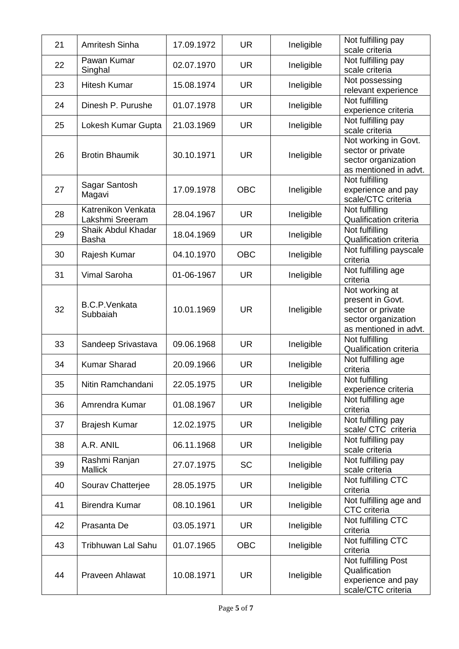| 21 | <b>Amritesh Sinha</b>                 | 17.09.1972 | <b>UR</b>  | Ineligible | Not fulfilling pay<br>scale criteria                                                                    |
|----|---------------------------------------|------------|------------|------------|---------------------------------------------------------------------------------------------------------|
| 22 | Pawan Kumar<br>Singhal                | 02.07.1970 | <b>UR</b>  | Ineligible | Not fulfilling pay<br>scale criteria                                                                    |
| 23 | <b>Hitesh Kumar</b>                   | 15.08.1974 | <b>UR</b>  | Ineligible | Not possessing<br>relevant experience                                                                   |
| 24 | Dinesh P. Purushe                     | 01.07.1978 | <b>UR</b>  | Ineligible | Not fulfilling<br>experience criteria                                                                   |
| 25 | Lokesh Kumar Gupta                    | 21.03.1969 | <b>UR</b>  | Ineligible | Not fulfilling pay<br>scale criteria                                                                    |
| 26 | <b>Brotin Bhaumik</b>                 | 30.10.1971 | <b>UR</b>  | Ineligible | Not working in Govt.<br>sector or private<br>sector organization<br>as mentioned in advt.               |
| 27 | Sagar Santosh<br>Magavi               | 17.09.1978 | <b>OBC</b> | Ineligible | Not fulfilling<br>experience and pay<br>scale/CTC criteria                                              |
| 28 | Katrenikon Venkata<br>Lakshmi Sreeram | 28.04.1967 | <b>UR</b>  | Ineligible | Not fulfilling<br><b>Qualification criteria</b>                                                         |
| 29 | Shaik Abdul Khadar<br><b>Basha</b>    | 18.04.1969 | <b>UR</b>  | Ineligible | Not fulfilling<br>Qualification criteria                                                                |
| 30 | Rajesh Kumar                          | 04.10.1970 | <b>OBC</b> | Ineligible | Not fulfilling payscale<br>criteria                                                                     |
| 31 | Vimal Saroha                          | 01-06-1967 | <b>UR</b>  | Ineligible | Not fulfilling age<br>criteria                                                                          |
| 32 | <b>B.C.P.Venkata</b><br>Subbaiah      | 10.01.1969 | <b>UR</b>  | Ineligible | Not working at<br>present in Govt.<br>sector or private<br>sector organization<br>as mentioned in advt. |
| 33 | Sandeep Srivastava                    | 09.06.1968 | <b>UR</b>  | Ineligible | Not fulfilling<br><b>Qualification criteria</b>                                                         |
| 34 | <b>Kumar Sharad</b>                   | 20.09.1966 | <b>UR</b>  | Ineligible | Not fulfilling age<br>criteria                                                                          |
| 35 | Nitin Ramchandani                     | 22.05.1975 | <b>UR</b>  | Ineligible | Not fulfilling<br>experience criteria                                                                   |
| 36 | Amrendra Kumar                        | 01.08.1967 | <b>UR</b>  | Ineligible | Not fulfilling age<br>criteria                                                                          |
| 37 | <b>Brajesh Kumar</b>                  | 12.02.1975 | <b>UR</b>  | Ineligible | Not fulfilling pay<br>scale/ CTC criteria                                                               |
| 38 | A.R. ANIL                             | 06.11.1968 | <b>UR</b>  | Ineligible | Not fulfilling pay<br>scale criteria                                                                    |
| 39 | Rashmi Ranjan<br><b>Mallick</b>       | 27.07.1975 | <b>SC</b>  | Ineligible | Not fulfilling pay<br>scale criteria                                                                    |
| 40 | Sourav Chatterjee                     | 28.05.1975 | <b>UR</b>  | Ineligible | Not fulfilling CTC<br>criteria                                                                          |
| 41 | <b>Birendra Kumar</b>                 | 08.10.1961 | <b>UR</b>  | Ineligible | Not fulfilling age and<br>CTC criteria                                                                  |
| 42 | Prasanta De                           | 03.05.1971 | <b>UR</b>  | Ineligible | Not fulfilling CTC<br>criteria                                                                          |
| 43 | <b>Tribhuwan Lal Sahu</b>             | 01.07.1965 | <b>OBC</b> | Ineligible | Not fulfilling CTC<br>criteria                                                                          |
| 44 | Praveen Ahlawat                       | 10.08.1971 | <b>UR</b>  | Ineligible | Not fulfilling Post<br>Qualification<br>experience and pay<br>scale/CTC criteria                        |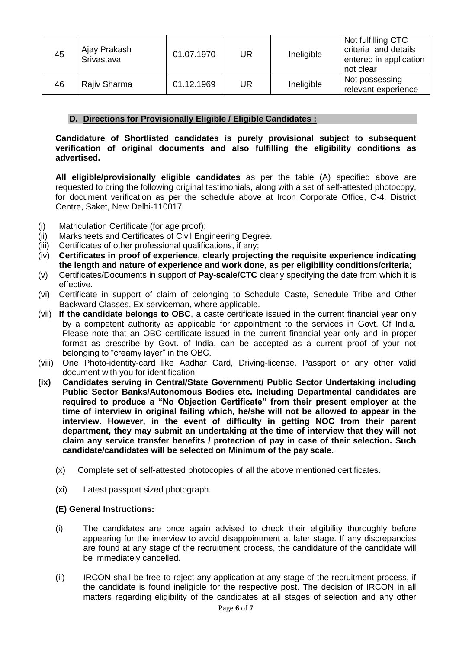| 45 | Ajay Prakash<br>Srivastava | 01.07.1970 | <b>UR</b> | Ineligible | Not fulfilling CTC<br>criteria and details<br>entered in application<br>not clear |
|----|----------------------------|------------|-----------|------------|-----------------------------------------------------------------------------------|
| 46 | Rajiv Sharma               | 01.12.1969 | UR        | Ineligible | Not possessing<br>relevant experience                                             |

### **D. Directions for Provisionally Eligible / Eligible Candidates :**

**Candidature of Shortlisted candidates is purely provisional subject to subsequent verification of original documents and also fulfilling the eligibility conditions as advertised.** 

**All eligible/provisionally eligible candidates** as per the table (A) specified above are requested to bring the following original testimonials, along with a set of self-attested photocopy, for document verification as per the schedule above at Ircon Corporate Office, C-4, District Centre, Saket, New Delhi-110017:

- (i) Matriculation Certificate (for age proof);
- (ii) Marksheets and Certificates of Civil Engineering Degree.
- (iii) Certificates of other professional qualifications, if any;
- (iv) **Certificates in proof of experience**, **clearly projecting the requisite experience indicating the length and nature of experience and work done, as per eligibility conditions/criteria**;
- (v) Certificates/Documents in support of **Pay-scale/CTC** clearly specifying the date from which it is effective.
- (vi) Certificate in support of claim of belonging to Schedule Caste, Schedule Tribe and Other Backward Classes, Ex-serviceman, where applicable.
- (vii) **If the candidate belongs to OBC**, a caste certificate issued in the current financial year only by a competent authority as applicable for appointment to the services in Govt. Of India. Please note that an OBC certificate issued in the current financial year only and in proper format as prescribe by Govt. of India, can be accepted as a current proof of your not belonging to "creamy layer" in the OBC.
- (viii) One Photo-identity-card like Aadhar Card, Driving-license, Passport or any other valid document with you for identification
- **(ix) Candidates serving in Central/State Government/ Public Sector Undertaking including Public Sector Banks/Autonomous Bodies etc. Including Departmental candidates are required to produce a "No Objection Certificate" from their present employer at the time of interview in original failing which, he/she will not be allowed to appear in the interview. However, in the event of difficulty in getting NOC from their parent department, they may submit an undertaking at the time of interview that they will not claim any service transfer benefits / protection of pay in case of their selection. Such candidate/candidates will be selected on Minimum of the pay scale.**
	- (x) Complete set of self-attested photocopies of all the above mentioned certificates.
	- (xi) Latest passport sized photograph.

### **(E) General Instructions:**

- (i) The candidates are once again advised to check their eligibility thoroughly before appearing for the interview to avoid disappointment at later stage. If any discrepancies are found at any stage of the recruitment process, the candidature of the candidate will be immediately cancelled.
- (ii) IRCON shall be free to reject any application at any stage of the recruitment process, if the candidate is found ineligible for the respective post. The decision of IRCON in all matters regarding eligibility of the candidates at all stages of selection and any other